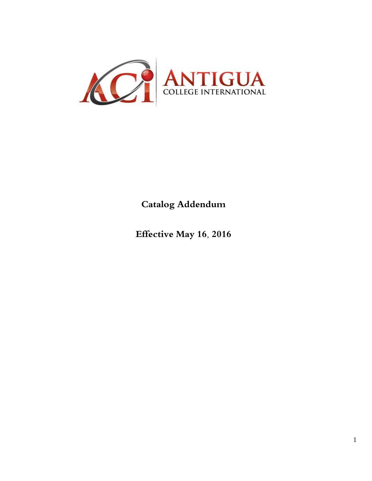

**Catalog Addendum**

**Effective May 16, 2016**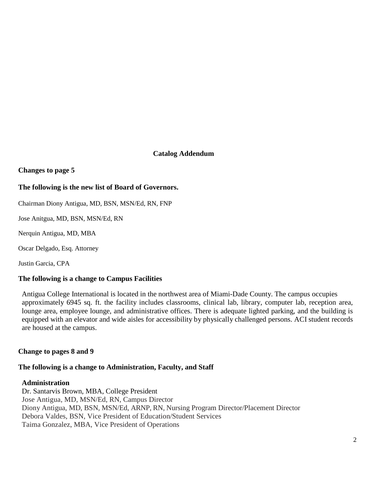# **Catalog Addendum**

**Changes to page 5**

## **The following is the new list of Board of Governors.**

Chairman Diony Antigua, MD, BSN, MSN/Ed, RN, FNP

Jose Anitgua, MD, BSN, MSN/Ed, RN

Nerquin Antigua, MD, MBA

Oscar Delgado, Esq. Attorney

Justin Garcia, CPA

#### **The following is a change to Campus Facilities**

Antigua College International is located in the northwest area of Miami-Dade County. The campus occupies approximately 6945 sq. ft. the facility includes classrooms, clinical lab, library, computer lab, reception area, lounge area, employee lounge, and administrative offices. There is adequate lighted parking, and the building is equipped with an elevator and wide aisles for accessibility by physically challenged persons. ACI student records are housed at the campus.

#### **Change to pages 8 and 9**

#### **The following is a change to Administration, Faculty, and Staff**

#### **Administration**

Dr. Santarvis Brown, MBA, College President Jose Antigua, MD, MSN/Ed, RN, Campus Director Diony Antigua, MD, BSN, MSN/Ed, ARNP, RN, Nursing Program Director/Placement Director Debora Valdes, BSN, Vice President of Education/Student Services Taima Gonzalez, MBA, Vice President of Operations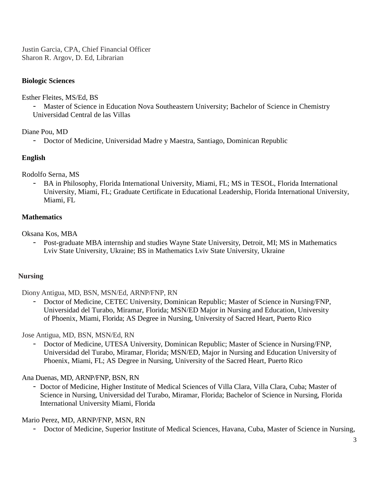Justin Garcia, CPA, Chief Financial Officer Sharon R. Argov, D. Ed, Librarian

# **Biologic Sciences**

Esther Fleites, MS/Ed, BS

- Master of Science in Education Nova Southeastern University; Bachelor of Science in Chemistry Universidad Central de las Villas

Diane Pou, MD

- Doctor of Medicine, Universidad Madre y Maestra, Santiago, Dominican Republic

# **English**

Rodolfo Serna, MS

BA in Philosophy, Florida International University, Miami, FL; MS in TESOL, Florida International University, Miami, FL; Graduate Certificate in Educational Leadership, Florida International University, Miami, FL

# **Mathematics**

Oksana Kos, MBA

- Post-graduate MBA internship and studies Wayne State University, Detroit, MI; MS in Mathematics Lviv State University, Ukraine; BS in Mathematics Lviv State University, Ukraine

# **Nursing**

Diony Antigua, MD, BSN, MSN/Ed, ARNP/FNP, RN

- Doctor of Medicine, CETEC University, Dominican Republic; Master of Science in Nursing/FNP, Universidad del Turabo, Miramar, Florida; MSN/ED Major in Nursing and Education, University of Phoenix, Miami, Florida; AS Degree in Nursing, University of Sacred Heart, Puerto Rico

Jose Antigua, MD, BSN, MSN/Ed, RN

- Doctor of Medicine, UTESA University, Dominican Republic; Master of Science in Nursing/FNP, Universidad del Turabo, Miramar, Florida; MSN/ED, Major in Nursing and Education University of Phoenix, Miami, FL; AS Degree in Nursing, University of the Sacred Heart, Puerto Rico

Ana Duenas, MD, ARNP/FNP, BSN, RN

- Doctor of Medicine, Higher Institute of Medical Sciences of Villa Clara, Villa Clara, Cuba; Master of Science in Nursing, Universidad del Turabo, Miramar, Florida; Bachelor of Science in Nursing, Florida International University Miami, Florida

Mario Perez, MD, ARNP/FNP, MSN, RN

- Doctor of Medicine, Superior Institute of Medical Sciences, Havana, Cuba, Master of Science in Nursing,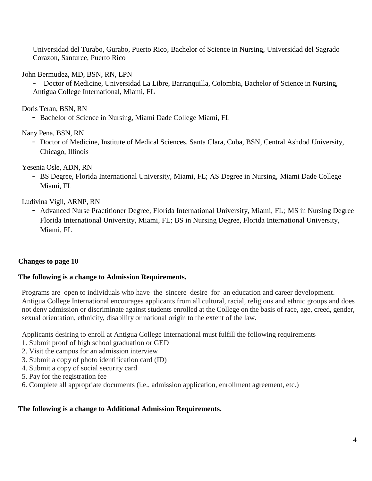Universidad del Turabo, Gurabo, Puerto Rico, Bachelor of Science in Nursing, Universidad del Sagrado Corazon, Santurce, Puerto Rico

John Bermudez, MD, BSN, RN, LPN

- Doctor of Medicine, Universidad La Libre, Barranquilla, Colombia, Bachelor of Science in Nursing, Antigua College International, Miami, FL

Doris Teran, BSN, RN

- Bachelor of Science in Nursing, Miami Dade College Miami, FL

Nany Pena, BSN, RN

- Doctor of Medicine, Institute of Medical Sciences, Santa Clara, Cuba, BSN, Central Ashdod University, Chicago, Illinois

Yesenia Osle, ADN, RN

- BS Degree, Florida International University, Miami, FL; AS Degree in Nursing, Miami Dade College Miami, FL

Ludivina Vigil, ARNP, RN

- Advanced Nurse Practitioner Degree, Florida International University, Miami, FL; MS in Nursing Degree Florida International University, Miami, FL; BS in Nursing Degree, Florida International University, Miami, FL

#### **Changes to page 10**

#### **The following is a change to Admission Requirements.**

Programs are open to individuals who have the sincere desire for an education and career development. Antigua College International encourages applicants from all cultural, racial, religious and ethnic groups and does not deny admission or discriminate against students enrolled at the College on the basis of race, age, creed, gender, sexual orientation, ethnicity, disability or national origin to the extent of the law.

Applicants desiring to enroll at Antigua College International must fulfill the following requirements

- 1. Submit proof of high school graduation or GED
- 2. Visit the campus for an admission interview
- 3. Submit a copy of photo identification card (ID)
- 4. Submit a copy of social security card
- 5. Pay for the registration fee
- 6. Complete all appropriate documents (i.e., admission application, enrollment agreement, etc.)

#### **The following is a change to Additional Admission Requirements.**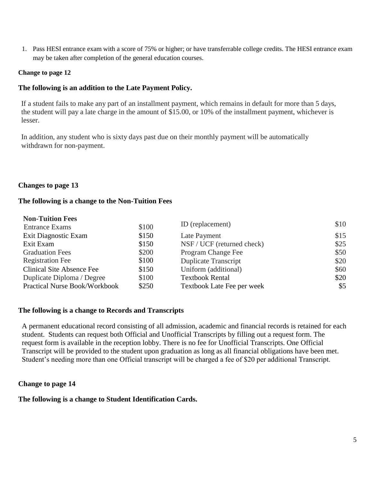1. Pass HESI entrance exam with a score of 75% or higher; or have transferrable college credits. The HESI entrance exam may be taken after completion of the general education courses.

#### **Change to page 12**

#### **The following is an addition to the Late Payment Policy.**

If a student fails to make any part of an installment payment, which remains in default for more than 5 days, the student will pay a late charge in the amount of \$15.00, or 10% of the installment payment, whichever is lesser.

In addition, any student who is sixty days past due on their monthly payment will be automatically withdrawn for non-payment.

#### **Changes to page 13**

#### **The following is a change to the Non-Tuition Fees**

| <b>Non-Tuition Fees</b>              |       |                             |      |
|--------------------------------------|-------|-----------------------------|------|
| <b>Entrance Exams</b>                | \$100 | ID (replacement)            | \$10 |
| Exit Diagnostic Exam                 | \$150 | Late Payment                | \$15 |
| Exit Exam                            | \$150 | NSF / UCF (returned check)  | \$25 |
| <b>Graduation Fees</b>               | \$200 | Program Change Fee          | \$50 |
| <b>Registration Fee</b>              | \$100 | <b>Duplicate Transcript</b> | \$20 |
| <b>Clinical Site Absence Fee</b>     | \$150 | Uniform (additional)        | \$60 |
| Duplicate Diploma / Degree           | \$100 | <b>Textbook Rental</b>      | \$20 |
| <b>Practical Nurse Book/Workbook</b> | \$250 | Textbook Late Fee per week  | \$5  |

#### **The following is a change to Records and Transcripts**

A permanent educational record consisting of all admission, academic and financial records is retained for each student. Students can request both Official and Unofficial Transcripts by filling out a request form. The request form is available in the reception lobby. There is no fee for Unofficial Transcripts. One Official Transcript will be provided to the student upon graduation as long as all financial obligations have been met. Student's needing more than one Official transcript will be charged a fee of \$20 per additional Transcript.

#### **Change to page 14**

#### **The following is a change to Student Identification Cards.**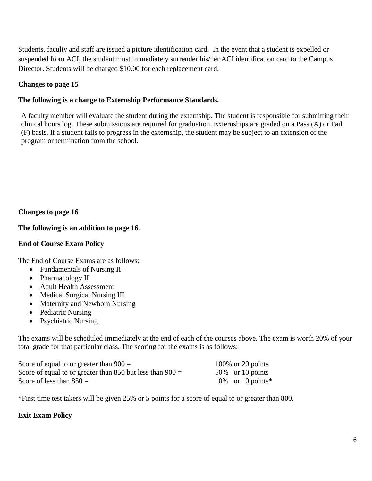Students, faculty and staff are issued a picture identification card. In the event that a student is expelled or suspended from ACI, the student must immediately surrender his/her ACI identification card to the Campus Director. Students will be charged \$10.00 for each replacement card.

# **Changes to page 15**

# **The following is a change to Externship Performance Standards.**

A faculty member will evaluate the student during the externship. The student is responsible for submitting their clinical hours log. These submissions are required for graduation. Externships are graded on a Pass (A) or Fail (F) basis. If a student fails to progress in the externship, the student may be subject to an extension of the program or termination from the school.

**Changes to page 16**

# **The following is an addition to page 16.**

## **End of Course Exam Policy**

The End of Course Exams are as follows:

- Fundamentals of Nursing II
- Pharmacology II
- Adult Health Assessment
- Medical Surgical Nursing III
- Maternity and Newborn Nursing
- Pediatric Nursing
- Psychiatric Nursing

The exams will be scheduled immediately at the end of each of the courses above. The exam is worth 20% of your total grade for that particular class. The scoring for the exams is as follows:

| Score of equal to or greater than $900 =$                   |  | $100\%$ or 20 points |
|-------------------------------------------------------------|--|----------------------|
| Score of equal to or greater than 850 but less than $900 =$ |  | $50\%$ or 10 points  |
| Score of less than $850 =$                                  |  | $0\%$ or 0 points*   |

\*First time test takers will be given 25% or 5 points for a score of equal to or greater than 800.

# **Exit Exam Policy**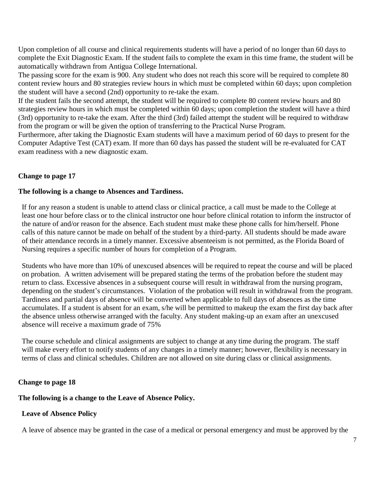Upon completion of all course and clinical requirements students will have a period of no longer than 60 days to complete the Exit Diagnostic Exam. If the student fails to complete the exam in this time frame, the student will be automatically withdrawn from Antigua College International.

The passing score for the exam is 900. Any student who does not reach this score will be required to complete 80 content review hours and 80 strategies review hours in which must be completed within 60 days; upon completion the student will have a second (2nd) opportunity to re-take the exam.

If the student fails the second attempt, the student will be required to complete 80 content review hours and 80 strategies review hours in which must be completed within 60 days; upon completion the student will have a third (3rd) opportunity to re-take the exam. After the third (3rd) failed attempt the student will be required to withdraw from the program or will be given the option of transferring to the Practical Nurse Program.

Furthermore, after taking the Diagnostic Exam students will have a maximum period of 60 days to present for the Computer Adaptive Test (CAT) exam. If more than 60 days has passed the student will be re-evaluated for CAT exam readiness with a new diagnostic exam.

# **Change to page 17**

# **The following is a change to Absences and Tardiness.**

If for any reason a student is unable to attend class or clinical practice, a call must be made to the College at least one hour before class or to the clinical instructor one hour before clinical rotation to inform the instructor of the nature of and/or reason for the absence. Each student must make these phone calls for him/herself. Phone calls of this nature cannot be made on behalf of the student by a third-party. All students should be made aware of their attendance records in a timely manner. Excessive absenteeism is not permitted, as the Florida Board of Nursing requires a specific number of hours for completion of a Program.

Students who have more than 10% of unexcused absences will be required to repeat the course and will be placed on probation. A written advisement will be prepared stating the terms of the probation before the student may return to class. Excessive absences in a subsequent course will result in withdrawal from the nursing program, depending on the student's circumstances. Violation of the probation will result in withdrawal from the program. Tardiness and partial days of absence will be converted when applicable to full days of absences as the time accumulates. If a student is absent for an exam, s/he will be permitted to makeup the exam the first day back after the absence unless otherwise arranged with the faculty. Any student making-up an exam after an unexcused absence will receive a maximum grade of 75%

The course schedule and clinical assignments are subject to change at any time during the program. The staff will make every effort to notify students of any changes in a timely manner; however, flexibility is necessary in terms of class and clinical schedules. Children are not allowed on site during class or clinical assignments.

#### **Change to page 18**

# **The following is a change to the Leave of Absence Policy.**

# **Leave of Absence Policy**

A leave of absence may be granted in the case of a medical or personal emergency and must be approved by the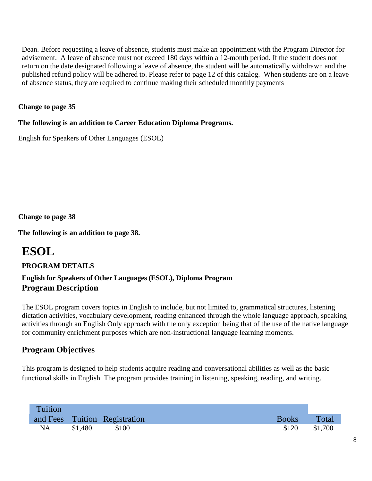Dean. Before requesting a leave of absence, students must make an appointment with the Program Director for advisement. A leave of absence must not exceed 180 days within a 12-month period. If the student does not return on the date designated following a leave of absence, the student will be automatically withdrawn and the published refund policy will be adhered to. Please refer to page 12 of this catalog. When students are on a leave of absence status, they are required to continue making their scheduled monthly payments

# **Change to page 35**

# **The following is an addition to Career Education Diploma Programs.**

English for Speakers of Other Languages (ESOL)

**Change to page 38**

**The following is an addition to page 38.**

# **ESOL**

# **PROGRAM DETAILS**

# **English for Speakers of Other Languages (ESOL), Diploma Program Program Description**

The ESOL program covers topics in English to include, but not limited to, grammatical structures, listening dictation activities, vocabulary development, reading enhanced through the whole language approach, speaking activities through an English Only approach with the only exception being that of the use of the native language for community enrichment purposes which are non-instructional language learning moments.

# **Program Objectives**

This program is designed to help students acquire reading and conversational abilities as well as the basic functional skills in English. The program provides training in listening, speaking, reading, and writing.

| Tuition   |         |                               |              |         |
|-----------|---------|-------------------------------|--------------|---------|
|           |         | and Fees Tuition Registration | <b>Books</b> | Total   |
| <b>NA</b> | \$1,480 | \$100                         | \$120        | \$1,700 |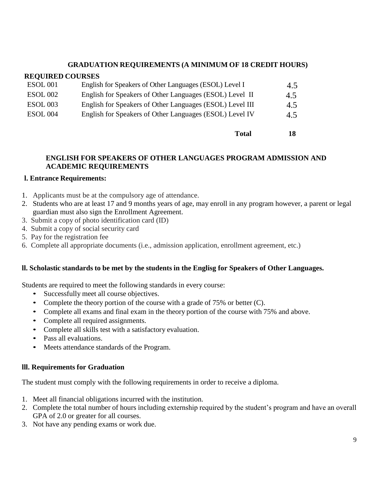## **GRADUATION REQUIREMENTS (A MINIMUM OF 18 CREDIT HOURS)**

#### **REQUIRED COURSES**

| <b>ESOL</b> 001 | English for Speakers of Other Languages (ESOL) Level I   | 4.5 |
|-----------------|----------------------------------------------------------|-----|
| <b>ESOL 002</b> | English for Speakers of Other Languages (ESOL) Level II  | 4.5 |
| <b>ESOL 003</b> | English for Speakers of Other Languages (ESOL) Level III | 4.5 |
| <b>ESOL 004</b> | English for Speakers of Other Languages (ESOL) Level IV  | 4.5 |
|                 |                                                          |     |

**Total 18**

## **ENGLISH FOR SPEAKERS OF OTHER LANGUAGES PROGRAM ADMISSION AND ACADEMIC REQUIREMENTS**

#### **l. Entrance Requirements:**

- 1. Applicants must be at the compulsory age of attendance.
- 2. Students who are at least 17 and 9 months years of age, may enroll in any program however, a parent or legal guardian must also sign the Enrollment Agreement.
- 3. Submit a copy of photo identification card (ID)
- 4. Submit a copy of social security card
- 5. Pay for the registration fee
- 6. Complete all appropriate documents (i.e., admission application, enrollment agreement, etc.)

#### **ll. Scholastic standards to be met by the students in the Englisg for Speakers of Other Languages.**

Students are required to meet the following standards in every course:

- Successfully meet all course objectives.
- Complete the theory portion of the course with a grade of 75% or better (C).
- Complete all exams and final exam in the theory portion of the course with 75% and above.
- Complete all required assignments.
- Complete all skills test with a satisfactory evaluation.
- Pass all evaluations.
- Meets attendance standards of the Program.

#### **lll. Requirements for Graduation**

The student must comply with the following requirements in order to receive a diploma.

- 1. Meet all financial obligations incurred with the institution.
- 2. Complete the total number of hours including externship required by the student's program and have an overall GPA of 2.0 or greater for all courses.
- 3. Not have any pending exams or work due.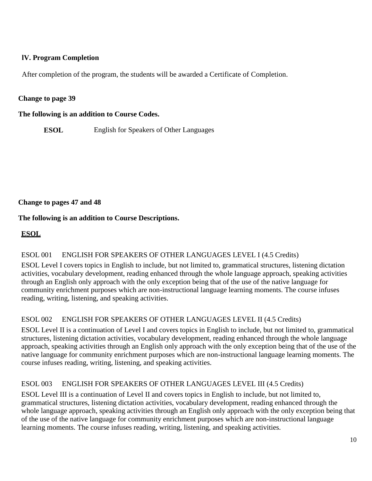# **lV. Program Completion**

After completion of the program, the students will be awarded a Certificate of Completion.

## **Change to page 39**

**The following is an addition to Course Codes.**

**ESOL** English for Speakers of Other Languages

**Change to pages 47 and 48**

# **The following is an addition to Course Descriptions.**

# **ESOL**

# ESOL 001 ENGLISH FOR SPEAKERS OF OTHER LANGUAGES LEVEL I (4.5 Credits)

ESOL Level I covers topics in English to include, but not limited to, grammatical structures, listening dictation activities, vocabulary development, reading enhanced through the whole language approach, speaking activities through an English only approach with the only exception being that of the use of the native language for community enrichment purposes which are non-instructional language learning moments. The course infuses reading, writing, listening, and speaking activities.

# ESOL 002 ENGLISH FOR SPEAKERS OF OTHER LANGUAGES LEVEL II (4.5 Credits)

ESOL Level II is a continuation of Level I and covers topics in English to include, but not limited to, grammatical structures, listening dictation activities, vocabulary development, reading enhanced through the whole language approach, speaking activities through an English only approach with the only exception being that of the use of the native language for community enrichment purposes which are non-instructional language learning moments. The course infuses reading, writing, listening, and speaking activities.

# ESOL 003 ENGLISH FOR SPEAKERS OF OTHER LANGUAGES LEVEL III (4.5 Credits)

ESOL Level III is a continuation of Level II and covers topics in English to include, but not limited to, grammatical structures, listening dictation activities, vocabulary development, reading enhanced through the whole language approach, speaking activities through an English only approach with the only exception being that of the use of the native language for community enrichment purposes which are non-instructional language learning moments. The course infuses reading, writing, listening, and speaking activities.